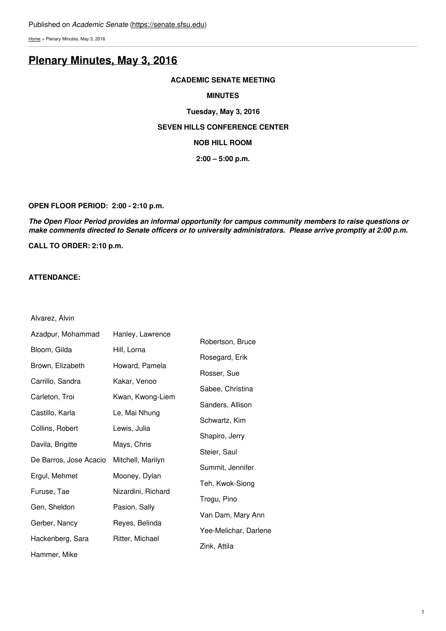[Home](https://senate.sfsu.edu/) > Plenary Minutes, May 3, 2016

# **Plenary [Minutes,](https://senate.sfsu.edu/meeting-minutes-archive/plenary-minutes-may-3-2016) May 3, 2016**

#### **ACADEMIC SENATE MEETING**

#### **MINUTES**

# **Tuesday, May 3, 2016 SEVEN HILLS CONFERENCE CENTER NOB HILL ROOM 2:00 – 5:00 p.m.**

#### **OPEN FLOOR PERIOD: 2:00 - 2:10 p.m.**

*The Open Floor Period provides an informal opportunity for campus community members to raise questions or make comments directed to Senate officers or to university administrators. Please arrive promptly at 2:00 p.m.*

**CALL TO ORDER: 2:10 p.m.**

#### **ATTENDANCE:**

Alvarez, Alvin

| Azadpur, Mohammad      | Hanley, Lawrence   |                       |
|------------------------|--------------------|-----------------------|
| Bloom, Gilda           | Hill, Lorna        | Robertson, Bruce      |
| Brown, Elizabeth       | Howard, Pamela     | Rosegard, Erik        |
| Carrillo, Sandra       | Kakar, Venoo       | Rosser, Sue           |
|                        |                    | Sabee, Christina      |
| Carleton, Troi         | Kwan, Kwong-Liem   | Sanders, Allison      |
| Castillo, Karla        | Le, Mai Nhung      | Schwartz, Kim         |
| Collins, Robert        | Lewis, Julia       | Shapiro, Jerry        |
| Davila, Brigitte       | Mays, Chris        | Steier, Saul          |
| De Barros, Jose Acacio | Mitchell, Marilyn  |                       |
| Ergul, Mehmet          | Mooney, Dylan      | Summit, Jennifer      |
| Furuse, Tae            | Nizardini, Richard | Teh, Kwok-Siong       |
| Gen, Sheldon           | Pasion, Sally      | Trogu, Pino           |
| Gerber, Nancy          | Reyes, Belinda     | Van Dam, Mary Ann     |
|                        |                    | Yee-Melichar, Darlene |
| Hackenberg, Sara       | Ritter, Michael    | Zink, Attila          |
| Hammer. Mike           |                    |                       |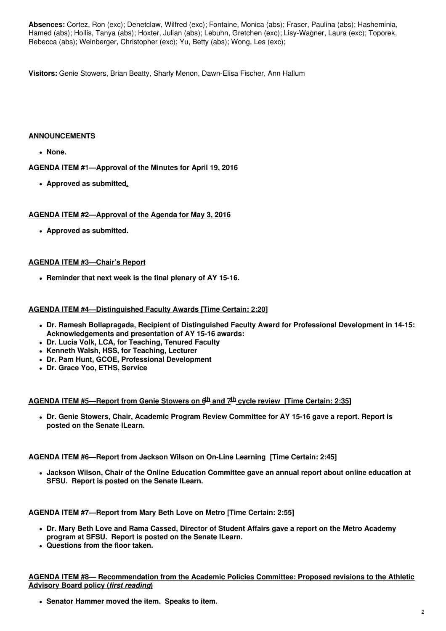**Absences:** Cortez, Ron (exc); Denetclaw, Wilfred (exc); Fontaine, Monica (abs); Fraser, Paulina (abs); Hasheminia, Hamed (abs); Hollis, Tanya (abs); Hoxter, Julian (abs); Lebuhn, Gretchen (exc); Lisy-Wagner, Laura (exc); Toporek, Rebecca (abs); Weinberger, Christopher (exc); Yu, Betty (abs); Wong, Les (exc);

**Visitors:** Genie Stowers, Brian Beatty, Sharly Menon, Dawn-Elisa Fischer, Ann Hallum

# **ANNOUNCEMENTS**

**None.**

# **AGENDA ITEM #1—Approval of the Minutes for April 19, 2016**

**Approved as submitted.**

# **AGENDA ITEM #2—Approval of the Agenda for May 3, 2016**

**Approved as submitted.**

# **AGENDA ITEM #3—Chair's Report**

**Reminder that next week is the final plenary of AY 15-16.**

# **AGENDA ITEM #4—Distinguished Faculty Awards [Time Certain: 2:20]**

- **Dr. Ramesh Bollapragada, Recipient of Distinguished Faculty Award for Professional Development in 14-15: Acknowledgements and presentation of AY 15-16 awards:**
- **Dr. Lucia Volk, LCA, for Teaching, Tenured Faculty**
- **Kenneth Walsh, HSS, for Teaching, Lecturer**
- **Dr. Pam Hunt, GCOE, Professional Development**
- **Dr. Grace Yoo, ETHS, Service**

# **AGENDA ITEM #5—Report from Genie Stowers on 6 th and 7 th cycle review [Time Certain: 2:35]**

**Dr. Genie Stowers, Chair, Academic Program Review Committee for AY 15-16 gave a report. Report is posted on the Senate ILearn.**

# **AGENDA ITEM #6—Report from Jackson Wilson on On-Line Learning [Time Certain: 2:45]**

**Jackson Wilson, Chair of the Online Education Committee gave an annual report about online education at SFSU. Report is posted on the Senate ILearn.**

# **AGENDA ITEM #7—Report from Mary Beth Love on Metro [Time Certain: 2:55]**

- **Dr. Mary Beth Love and Rama Cassed, Director of Student Affairs gave a report on the Metro Academy program at SFSU. Report is posted on the Senate ILearn.**
- **Questions from the floor taken.**

**AGENDA ITEM #8— Recommendation from the Academic Policies Committee: Proposed revisions to the Athletic Advisory Board policy (***first reading***)**

**Senator Hammer moved the item. Speaks to item.**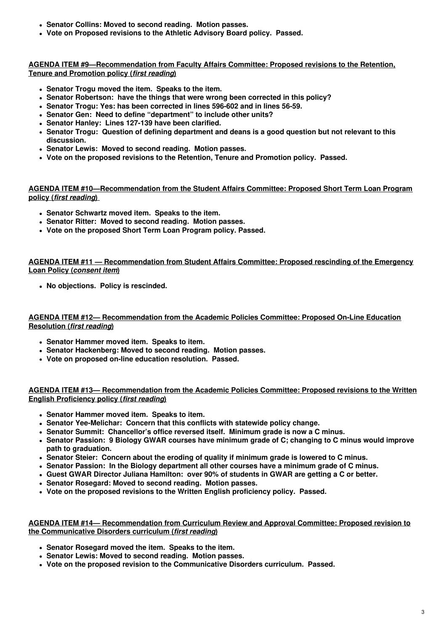- **Senator Collins: Moved to second reading. Motion passes.**
- **Vote on Proposed revisions to the Athletic Advisory Board policy. Passed.**

**AGENDA ITEM #9—Recommendation from Faculty Affairs Committee: Proposed revisions to the Retention, Tenure and Promotion policy (***first reading***)**

- **Senator Trogu moved the item. Speaks to the item.**
- **Senator Robertson: have the things that were wrong been corrected in this policy?**
- **Senator Trogu: Yes: has been corrected in lines 596-602 and in lines 56-59.**
- **Senator Gen: Need to define "department" to include other units?**
- **Senator Hanley: Lines 127-139 have been clarified.**
- **Senator Trogu: Question of defining department and deans is a good question but not relevant to this discussion.**
- **Senator Lewis: Moved to second reading. Motion passes.**
- **Vote on the proposed revisions to the Retention, Tenure and Promotion policy. Passed.**

**AGENDA ITEM #10—Recommendation from the Student Affairs Committee: Proposed Short Term Loan Program policy (***first reading***)**

- **Senator Schwartz moved item. Speaks to the item.**
- **Senator Ritter: Moved to second reading. Motion passes.**
- **Vote on the proposed Short Term Loan Program policy. Passed.**

**AGENDA ITEM #11 — Recommendation from Student Affairs Committee: Proposed rescinding of the Emergency Loan Policy (***consent item***)**

**No objections. Policy is rescinded.**

**AGENDA ITEM #12— Recommendation from the Academic Policies Committee: Proposed On-Line Education Resolution (***first reading***)**

- **Senator Hammer moved item. Speaks to item.**
- **Senator Hackenberg: Moved to second reading. Motion passes.**
- **Vote on proposed on-line education resolution. Passed.**

**AGENDA ITEM #13— Recommendation from the Academic Policies Committee: Proposed revisions to the Written English Proficiency policy (***first reading***)**

- **Senator Hammer moved item. Speaks to item.**
- **Senator Yee-Melichar: Concern that this conflicts with statewide policy change.**
- **Senator Summit: Chancellor's office reversed itself. Minimum grade is now a C minus.**
- **Senator Passion: 9 Biology GWAR courses have minimum grade of C; changing to C minus would improve path to graduation.**
- **Senator Steier: Concern about the eroding of quality if minimum grade is lowered to C minus.**
- **Senator Passion: In the Biology department all other courses have a minimum grade of C minus.**
- **Guest GWAR Director Juliana Hamilton: over 90% of students in GWAR are getting a C or better.**
- **Senator Rosegard: Moved to second reading. Motion passes.**
- **Vote on the proposed revisions to the Written English proficiency policy. Passed.**

**AGENDA ITEM #14— Recommendation from Curriculum Review and Approval Committee: Proposed revision to the Communicative Disorders curriculum (***first reading***)**

- **Senator Rosegard moved the item. Speaks to the item.**
- **Senator Lewis: Moved to second reading. Motion passes.**
- **Vote on the proposed revision to the Communicative Disorders curriculum. Passed.**